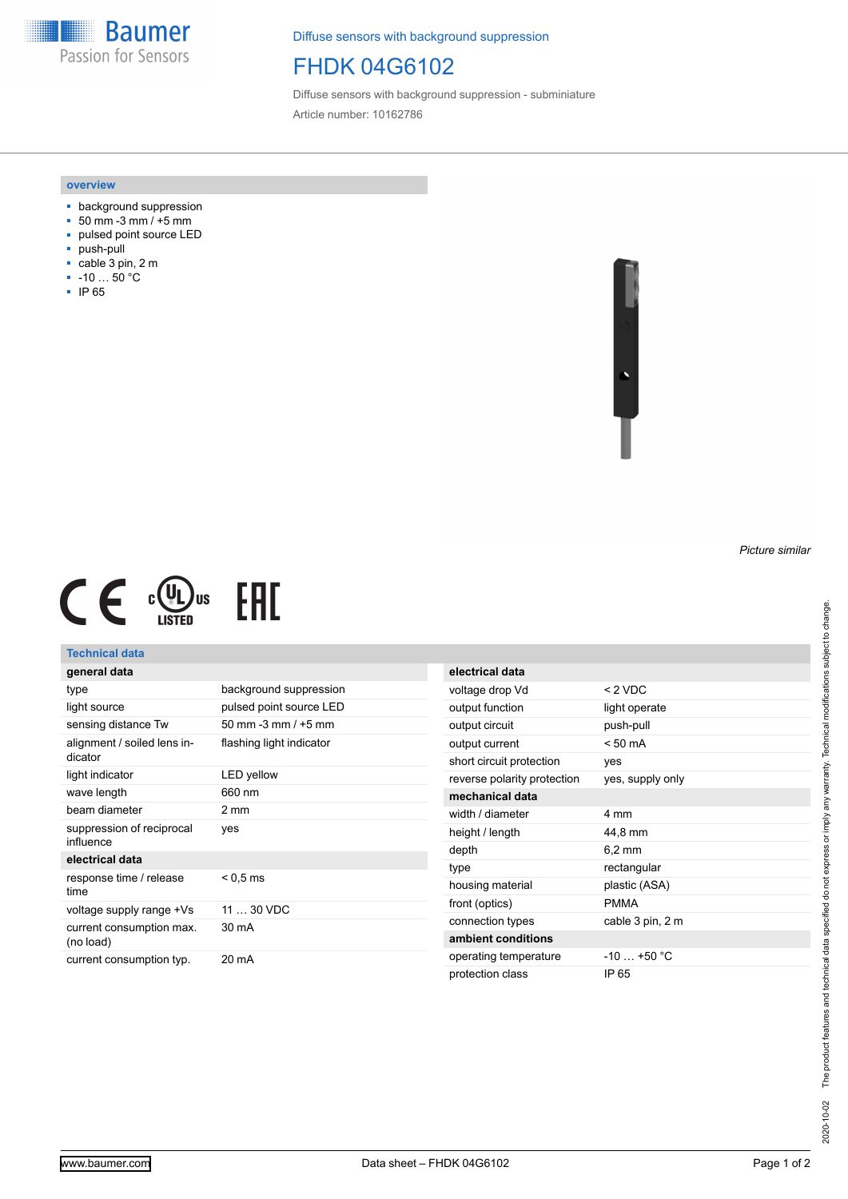**Baumer** Passion for Sensors

Diffuse sensors with background suppression

## FHDK 04G6102

Diffuse sensors with background suppression - subminiature Article number: 10162786

#### **overview**

- background suppression
- $= 50$  mm  $-3$  mm  $/ +5$  mm
- pulsed point source LED
- push-pull
- cable 3 pin, 2 m
- -10 … 50 °C
- IP 65





### **Technical data**

## **general data**

| type                                   | background suppression   |
|----------------------------------------|--------------------------|
| light source                           | pulsed point source LED  |
| sensing distance Tw                    | 50 mm $-3$ mm $/ +5$ mm  |
| alignment / soiled lens in-<br>dicator | flashing light indicator |
| light indicator                        | LED yellow               |
| wave length                            | 660 nm                   |
| beam diameter                          | 2 mm                     |
| suppression of reciprocal<br>influence | yes                      |
| electrical data                        |                          |
| response time / release<br>time        | $< 0.5 \, \text{ms}$     |
| voltage supply range +Vs               | $1130$ VDC               |
| current consumption max.<br>(no load)  | 30 mA                    |
| current consumption typ.               | 20 mA                    |

| electrical data             |                   |
|-----------------------------|-------------------|
| voltage drop Vd             | $< 2$ VDC         |
| output function             | light operate     |
| output circuit              | push-pull         |
| output current              | $< 50 \text{ mA}$ |
| short circuit protection    | yes               |
| reverse polarity protection | yes, supply only  |
| mechanical data             |                   |
| width / diameter            | 4 mm              |
| height / length             | 44,8 mm           |
| depth                       | $6.2 \text{ mm}$  |
| type                        | rectangular       |
| housing material            | plastic (ASA)     |
| front (optics)              | <b>PMMA</b>       |
| connection types            | cable 3 pin, 2 m  |
| ambient conditions          |                   |
| operating temperature       | $-10$ $+50$ °C    |
| protection class            | IP 65             |

*Picture similar*